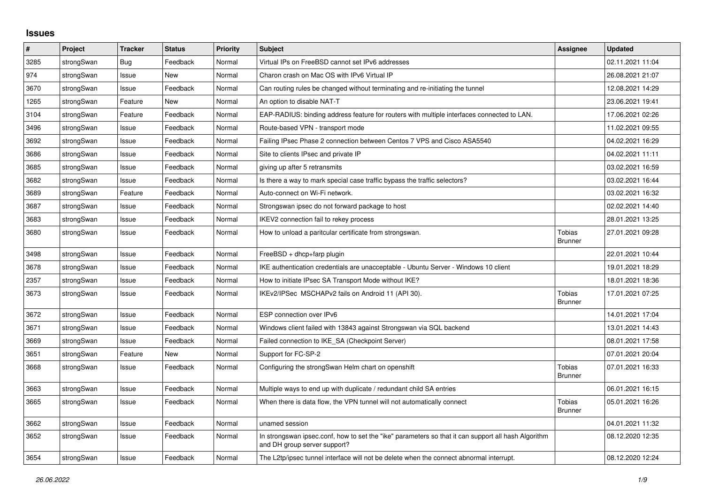## **Issues**

| #    | Project    | <b>Tracker</b> | <b>Status</b> | <b>Priority</b> | <b>Subject</b>                                                                                                                      | <b>Assignee</b>                 | <b>Updated</b>   |
|------|------------|----------------|---------------|-----------------|-------------------------------------------------------------------------------------------------------------------------------------|---------------------------------|------------------|
| 3285 | strongSwan | Bug            | Feedback      | Normal          | Virtual IPs on FreeBSD cannot set IPv6 addresses                                                                                    |                                 | 02.11.2021 11:04 |
| 974  | strongSwan | Issue          | New           | Normal          | Charon crash on Mac OS with IPv6 Virtual IP                                                                                         |                                 | 26.08.2021 21:07 |
| 3670 | strongSwan | Issue          | Feedback      | Normal          | Can routing rules be changed without terminating and re-initiating the tunnel                                                       |                                 | 12.08.2021 14:29 |
| 1265 | strongSwan | Feature        | <b>New</b>    | Normal          | An option to disable NAT-T                                                                                                          |                                 | 23.06.2021 19:41 |
| 3104 | strongSwan | Feature        | Feedback      | Normal          | EAP-RADIUS: binding address feature for routers with multiple interfaces connected to LAN.                                          |                                 | 17.06.2021 02:26 |
| 3496 | strongSwan | Issue          | Feedback      | Normal          | Route-based VPN - transport mode                                                                                                    |                                 | 11.02.2021 09:55 |
| 3692 | strongSwan | Issue          | Feedback      | Normal          | Failing IPsec Phase 2 connection between Centos 7 VPS and Cisco ASA5540                                                             |                                 | 04.02.2021 16:29 |
| 3686 | strongSwan | Issue          | Feedback      | Normal          | Site to clients IPsec and private IP                                                                                                |                                 | 04.02.2021 11:11 |
| 3685 | strongSwan | Issue          | Feedback      | Normal          | giving up after 5 retransmits                                                                                                       |                                 | 03.02.2021 16:59 |
| 3682 | strongSwan | Issue          | Feedback      | Normal          | Is there a way to mark special case traffic bypass the traffic selectors?                                                           |                                 | 03.02.2021 16:44 |
| 3689 | strongSwan | Feature        | Feedback      | Normal          | Auto-connect on Wi-Fi network.                                                                                                      |                                 | 03.02.2021 16:32 |
| 3687 | strongSwan | Issue          | Feedback      | Normal          | Strongswan ipsec do not forward package to host                                                                                     |                                 | 02.02.2021 14:40 |
| 3683 | strongSwan | Issue          | Feedback      | Normal          | IKEV2 connection fail to rekey process                                                                                              |                                 | 28.01.2021 13:25 |
| 3680 | strongSwan | Issue          | Feedback      | Normal          | How to unload a paritcular certificate from strongswan.                                                                             | <b>Tobias</b><br><b>Brunner</b> | 27.01.2021 09:28 |
| 3498 | strongSwan | Issue          | Feedback      | Normal          | $FreeBSD + dhcp + farp plugin$                                                                                                      |                                 | 22.01.2021 10:44 |
| 3678 | strongSwan | Issue          | Feedback      | Normal          | IKE authentication credentials are unacceptable - Ubuntu Server - Windows 10 client                                                 |                                 | 19.01.2021 18:29 |
| 2357 | strongSwan | Issue          | Feedback      | Normal          | How to initiate IPsec SA Transport Mode without IKE?                                                                                |                                 | 18.01.2021 18:36 |
| 3673 | strongSwan | Issue          | Feedback      | Normal          | IKEv2/IPSec MSCHAPv2 fails on Android 11 (API 30).                                                                                  | Tobias<br><b>Brunner</b>        | 17.01.2021 07:25 |
| 3672 | strongSwan | Issue          | Feedback      | Normal          | ESP connection over IPv6                                                                                                            |                                 | 14.01.2021 17:04 |
| 3671 | strongSwan | Issue          | Feedback      | Normal          | Windows client failed with 13843 against Strongswan via SQL backend                                                                 |                                 | 13.01.2021 14:43 |
| 3669 | strongSwan | Issue          | Feedback      | Normal          | Failed connection to IKE SA (Checkpoint Server)                                                                                     |                                 | 08.01.2021 17:58 |
| 3651 | strongSwan | Feature        | <b>New</b>    | Normal          | Support for FC-SP-2                                                                                                                 |                                 | 07.01.2021 20:04 |
| 3668 | strongSwan | Issue          | Feedback      | Normal          | Configuring the strongSwan Helm chart on openshift                                                                                  | Tobias<br><b>Brunner</b>        | 07.01.2021 16:33 |
| 3663 | strongSwan | Issue          | Feedback      | Normal          | Multiple ways to end up with duplicate / redundant child SA entries                                                                 |                                 | 06.01.2021 16:15 |
| 3665 | strongSwan | Issue          | Feedback      | Normal          | When there is data flow, the VPN tunnel will not automatically connect                                                              | Tobias<br><b>Brunner</b>        | 05.01.2021 16:26 |
| 3662 | strongSwan | Issue          | Feedback      | Normal          | unamed session                                                                                                                      |                                 | 04.01.2021 11:32 |
| 3652 | strongSwan | Issue          | Feedback      | Normal          | In strongswan ipsec.conf, how to set the "ike" parameters so that it can support all hash Algorithm<br>and DH group server support? |                                 | 08.12.2020 12:35 |
| 3654 | strongSwan | Issue          | Feedback      | Normal          | The L2tp/ipsec tunnel interface will not be delete when the connect abnormal interrupt.                                             |                                 | 08.12.2020 12:24 |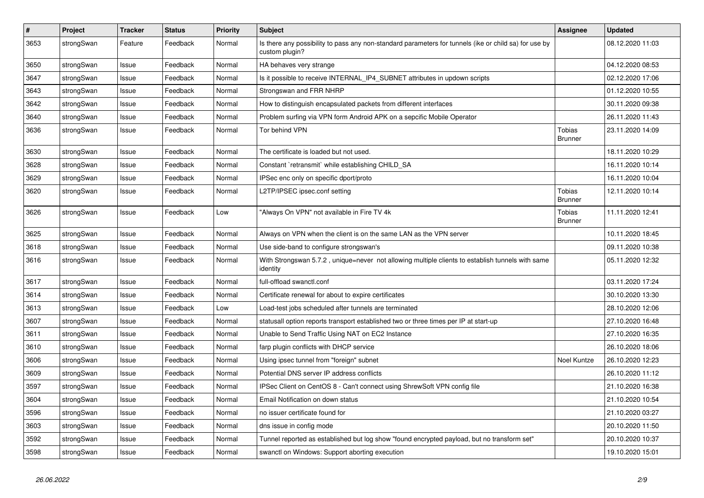| $\pmb{\#}$ | Project    | <b>Tracker</b> | <b>Status</b> | <b>Priority</b> | <b>Subject</b>                                                                                                          | <b>Assignee</b>                 | <b>Updated</b>   |
|------------|------------|----------------|---------------|-----------------|-------------------------------------------------------------------------------------------------------------------------|---------------------------------|------------------|
| 3653       | strongSwan | Feature        | Feedback      | Normal          | Is there any possibility to pass any non-standard parameters for tunnels (ike or child sa) for use by<br>custom plugin? |                                 | 08.12.2020 11:03 |
| 3650       | strongSwan | Issue          | Feedback      | Normal          | HA behaves very strange                                                                                                 |                                 | 04.12.2020 08:53 |
| 3647       | strongSwan | Issue          | Feedback      | Normal          | Is it possible to receive INTERNAL_IP4_SUBNET attributes in updown scripts                                              |                                 | 02.12.2020 17:06 |
| 3643       | strongSwan | Issue          | Feedback      | Normal          | Strongswan and FRR NHRP                                                                                                 |                                 | 01.12.2020 10:55 |
| 3642       | strongSwan | Issue          | Feedback      | Normal          | How to distinguish encapsulated packets from different interfaces                                                       |                                 | 30.11.2020 09:38 |
| 3640       | strongSwan | Issue          | Feedback      | Normal          | Problem surfing via VPN form Android APK on a sepcific Mobile Operator                                                  |                                 | 26.11.2020 11:43 |
| 3636       | strongSwan | Issue          | Feedback      | Normal          | Tor behind VPN                                                                                                          | Tobias<br><b>Brunner</b>        | 23.11.2020 14:09 |
| 3630       | strongSwan | Issue          | Feedback      | Normal          | The certificate is loaded but not used.                                                                                 |                                 | 18.11.2020 10:29 |
| 3628       | strongSwan | Issue          | Feedback      | Normal          | Constant `retransmit` while establishing CHILD_SA                                                                       |                                 | 16.11.2020 10:14 |
| 3629       | strongSwan | Issue          | Feedback      | Normal          | IPSec enc only on specific dport/proto                                                                                  |                                 | 16.11.2020 10:04 |
| 3620       | strongSwan | Issue          | Feedback      | Normal          | L2TP/IPSEC ipsec.conf setting                                                                                           | <b>Tobias</b><br><b>Brunner</b> | 12.11.2020 10:14 |
| 3626       | strongSwan | lssue          | Feedback      | Low             | "Always On VPN" not available in Fire TV 4k                                                                             | <b>Tobias</b><br><b>Brunner</b> | 11.11.2020 12:41 |
| 3625       | strongSwan | Issue          | Feedback      | Normal          | Always on VPN when the client is on the same LAN as the VPN server                                                      |                                 | 10.11.2020 18:45 |
| 3618       | strongSwan | Issue          | Feedback      | Normal          | Use side-band to configure strongswan's                                                                                 |                                 | 09.11.2020 10:38 |
| 3616       | strongSwan | Issue          | Feedback      | Normal          | With Strongswan 5.7.2, unique=never not allowing multiple clients to establish tunnels with same<br>identity            |                                 | 05.11.2020 12:32 |
| 3617       | strongSwan | Issue          | Feedback      | Normal          | full-offload swanctl.conf                                                                                               |                                 | 03.11.2020 17:24 |
| 3614       | strongSwan | Issue          | Feedback      | Normal          | Certificate renewal for about to expire certificates                                                                    |                                 | 30.10.2020 13:30 |
| 3613       | strongSwan | Issue          | Feedback      | Low             | Load-test jobs scheduled after tunnels are terminated                                                                   |                                 | 28.10.2020 12:06 |
| 3607       | strongSwan | Issue          | Feedback      | Normal          | statusall option reports transport established two or three times per IP at start-up                                    |                                 | 27.10.2020 16:48 |
| 3611       | strongSwan | Issue          | Feedback      | Normal          | Unable to Send Traffic Using NAT on EC2 Instance                                                                        |                                 | 27.10.2020 16:35 |
| 3610       | strongSwan | lssue          | Feedback      | Normal          | farp plugin conflicts with DHCP service                                                                                 |                                 | 26.10.2020 18:06 |
| 3606       | strongSwan | Issue          | Feedback      | Normal          | Using ipsec tunnel from "foreign" subnet                                                                                | Noel Kuntze                     | 26.10.2020 12:23 |
| 3609       | strongSwan | Issue          | Feedback      | Normal          | Potential DNS server IP address conflicts                                                                               |                                 | 26.10.2020 11:12 |
| 3597       | strongSwan | Issue          | Feedback      | Normal          | IPSec Client on CentOS 8 - Can't connect using ShrewSoft VPN config file                                                |                                 | 21.10.2020 16:38 |
| 3604       | strongSwan | Issue          | Feedback      | Normal          | Email Notification on down status                                                                                       |                                 | 21.10.2020 10:54 |
| 3596       | strongSwan | Issue          | Feedback      | Normal          | no issuer certificate found for                                                                                         |                                 | 21.10.2020 03:27 |
| 3603       | strongSwan | Issue          | Feedback      | Normal          | dns issue in config mode                                                                                                |                                 | 20.10.2020 11:50 |
| 3592       | strongSwan | Issue          | Feedback      | Normal          | Tunnel reported as established but log show "found encrypted payload, but no transform set"                             |                                 | 20.10.2020 10:37 |
| 3598       | strongSwan | Issue          | Feedback      | Normal          | swanctl on Windows: Support aborting execution                                                                          |                                 | 19.10.2020 15:01 |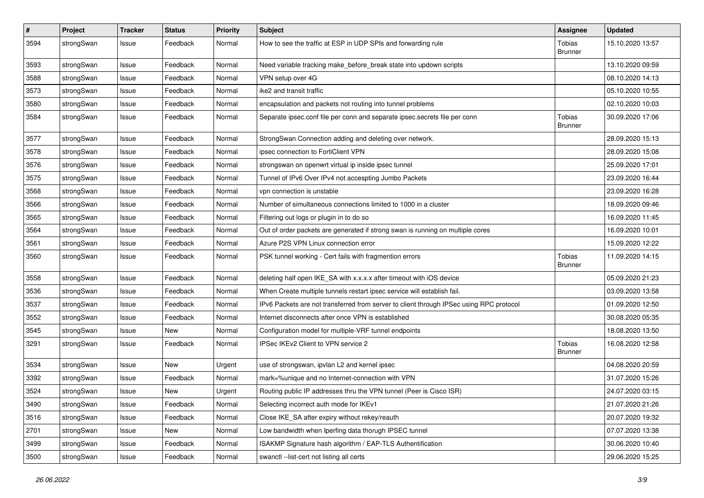| $\pmb{\#}$ | Project    | <b>Tracker</b> | <b>Status</b> | <b>Priority</b> | <b>Subject</b>                                                                          | <b>Assignee</b>          | <b>Updated</b>   |
|------------|------------|----------------|---------------|-----------------|-----------------------------------------------------------------------------------------|--------------------------|------------------|
| 3594       | strongSwan | Issue          | Feedback      | Normal          | How to see the traffic at ESP in UDP SPIs and forwarding rule                           | Tobias<br><b>Brunner</b> | 15.10.2020 13:57 |
| 3593       | strongSwan | Issue          | Feedback      | Normal          | Need variable tracking make before break state into updown scripts                      |                          | 13.10.2020 09:59 |
| 3588       | strongSwan | Issue          | Feedback      | Normal          | VPN setup over 4G                                                                       |                          | 08.10.2020 14:13 |
| 3573       | strongSwan | Issue          | Feedback      | Normal          | ike2 and transit traffic                                                                |                          | 05.10.2020 10:55 |
| 3580       | strongSwan | Issue          | Feedback      | Normal          | encapsulation and packets not routing into tunnel problems                              |                          | 02.10.2020 10:03 |
| 3584       | strongSwan | Issue          | Feedback      | Normal          | Separate ipsec.conf file per conn and separate ipsec.secrets file per conn              | Tobias<br><b>Brunner</b> | 30.09.2020 17:06 |
| 3577       | strongSwan | Issue          | Feedback      | Normal          | StrongSwan Connection adding and deleting over network.                                 |                          | 28.09.2020 15:13 |
| 3578       | strongSwan | Issue          | Feedback      | Normal          | ipsec connection to FortiClient VPN                                                     |                          | 28.09.2020 15:08 |
| 3576       | strongSwan | Issue          | Feedback      | Normal          | strongswan on openwrt virtual ip inside ipsec tunnel                                    |                          | 25.09.2020 17:01 |
| 3575       | strongSwan | Issue          | Feedback      | Normal          | Tunnel of IPv6 Over IPv4 not accespting Jumbo Packets                                   |                          | 23.09.2020 16:44 |
| 3568       | strongSwan | Issue          | Feedback      | Normal          | vpn connection is unstable                                                              |                          | 23.09.2020 16:28 |
| 3566       | strongSwan | Issue          | Feedback      | Normal          | Number of simultaneous connections limited to 1000 in a cluster                         |                          | 18.09.2020 09:46 |
| 3565       | strongSwan | Issue          | Feedback      | Normal          | Filtering out logs or plugin in to do so                                                |                          | 16.09.2020 11:45 |
| 3564       | strongSwan | Issue          | Feedback      | Normal          | Out of order packets are generated if strong swan is running on multiple cores          |                          | 16.09.2020 10:01 |
| 3561       | strongSwan | Issue          | Feedback      | Normal          | Azure P2S VPN Linux connection error                                                    |                          | 15.09.2020 12:22 |
| 3560       | strongSwan | Issue          | Feedback      | Normal          | PSK tunnel working - Cert fails with fragmention errors                                 | Tobias<br>Brunner        | 11.09.2020 14:15 |
| 3558       | strongSwan | Issue          | Feedback      | Normal          | deleting half open IKE_SA with x.x.x.x after timeout with iOS device                    |                          | 05.09.2020 21:23 |
| 3536       | strongSwan | Issue          | Feedback      | Normal          | When Create multiple tunnels restart ipsec service will establish fail.                 |                          | 03.09.2020 13:58 |
| 3537       | strongSwan | Issue          | Feedback      | Normal          | IPv6 Packets are not transferred from server to client through IPSec using RPC protocol |                          | 01.09.2020 12:50 |
| 3552       | strongSwan | Issue          | Feedback      | Normal          | Internet disconnects after once VPN is established                                      |                          | 30.08.2020 05:35 |
| 3545       | strongSwan | Issue          | New           | Normal          | Configuration model for multiple-VRF tunnel endpoints                                   |                          | 18.08.2020 13:50 |
| 3291       | strongSwan | Issue          | Feedback      | Normal          | IPSec IKEv2 Client to VPN service 2                                                     | Tobias<br><b>Brunner</b> | 16.08.2020 12:58 |
| 3534       | strongSwan | Issue          | <b>New</b>    | Urgent          | use of strongswan, ipvlan L2 and kernel ipsec                                           |                          | 04.08.2020 20:59 |
| 3392       | strongSwan | Issue          | Feedback      | Normal          | mark=%unique and no Internet-connection with VPN                                        |                          | 31.07.2020 15:26 |
| 3524       | strongSwan | Issue          | New           | Urgent          | Routing public IP addresses thru the VPN tunnel (Peer is Cisco ISR)                     |                          | 24.07.2020 03:15 |
| 3490       | strongSwan | Issue          | Feedback      | Normal          | Selecting incorrect auth mode for IKEv1                                                 |                          | 21.07.2020 21:26 |
| 3516       | strongSwan | Issue          | Feedback      | Normal          | Close IKE_SA after expiry without rekey/reauth                                          |                          | 20.07.2020 19:32 |
| 2701       | strongSwan | Issue          | New           | Normal          | Low bandwidth when Iperfing data thorugh IPSEC tunnel                                   |                          | 07.07.2020 13:38 |
| 3499       | strongSwan | Issue          | Feedback      | Normal          | ISAKMP Signature hash algorithm / EAP-TLS Authentification                              |                          | 30.06.2020 10:40 |
| 3500       | strongSwan | Issue          | Feedback      | Normal          | swanctl --list-cert not listing all certs                                               |                          | 29.06.2020 15:25 |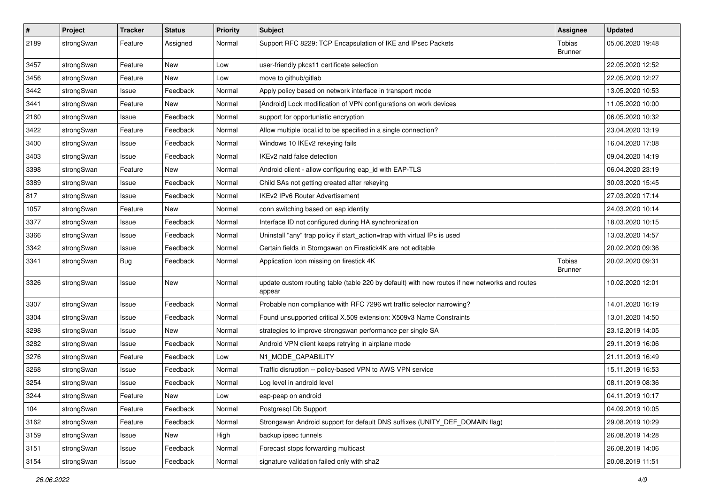| #    | Project    | <b>Tracker</b> | <b>Status</b> | <b>Priority</b> | <b>Subject</b>                                                                                          | <b>Assignee</b>          | <b>Updated</b>   |
|------|------------|----------------|---------------|-----------------|---------------------------------------------------------------------------------------------------------|--------------------------|------------------|
| 2189 | strongSwan | Feature        | Assigned      | Normal          | Support RFC 8229: TCP Encapsulation of IKE and IPsec Packets                                            | Tobias<br><b>Brunner</b> | 05.06.2020 19:48 |
| 3457 | strongSwan | Feature        | New           | Low             | user-friendly pkcs11 certificate selection                                                              |                          | 22.05.2020 12:52 |
| 3456 | strongSwan | Feature        | <b>New</b>    | Low             | move to github/gitlab                                                                                   |                          | 22.05.2020 12:27 |
| 3442 | strongSwan | Issue          | Feedback      | Normal          | Apply policy based on network interface in transport mode                                               |                          | 13.05.2020 10:53 |
| 3441 | strongSwan | Feature        | New           | Normal          | [Android] Lock modification of VPN configurations on work devices                                       |                          | 11.05.2020 10:00 |
| 2160 | strongSwan | Issue          | Feedback      | Normal          | support for opportunistic encryption                                                                    |                          | 06.05.2020 10:32 |
| 3422 | strongSwan | Feature        | Feedback      | Normal          | Allow multiple local.id to be specified in a single connection?                                         |                          | 23.04.2020 13:19 |
| 3400 | strongSwan | Issue          | Feedback      | Normal          | Windows 10 IKEv2 rekeying fails                                                                         |                          | 16.04.2020 17:08 |
| 3403 | strongSwan | Issue          | Feedback      | Normal          | IKEv2 natd false detection                                                                              |                          | 09.04.2020 14:19 |
| 3398 | strongSwan | Feature        | New           | Normal          | Android client - allow configuring eap_id with EAP-TLS                                                  |                          | 06.04.2020 23:19 |
| 3389 | strongSwan | Issue          | Feedback      | Normal          | Child SAs not getting created after rekeying                                                            |                          | 30.03.2020 15:45 |
| 817  | strongSwan | Issue          | Feedback      | Normal          | <b>IKEv2 IPv6 Router Advertisement</b>                                                                  |                          | 27.03.2020 17:14 |
| 1057 | strongSwan | Feature        | New           | Normal          | conn switching based on eap identity                                                                    |                          | 24.03.2020 10:14 |
| 3377 | strongSwan | Issue          | Feedback      | Normal          | Interface ID not configured during HA synchronization                                                   |                          | 18.03.2020 10:15 |
| 3366 | strongSwan | Issue          | Feedback      | Normal          | Uninstall "any" trap policy if start_action=trap with virtual IPs is used                               |                          | 13.03.2020 14:57 |
| 3342 | strongSwan | Issue          | Feedback      | Normal          | Certain fields in Storngswan on Firestick4K are not editable                                            |                          | 20.02.2020 09:36 |
| 3341 | strongSwan | Bug            | Feedback      | Normal          | Application Icon missing on firestick 4K                                                                | Tobias<br><b>Brunner</b> | 20.02.2020 09:31 |
| 3326 | strongSwan | Issue          | New           | Normal          | update custom routing table (table 220 by default) with new routes if new networks and routes<br>appear |                          | 10.02.2020 12:01 |
| 3307 | strongSwan | Issue          | Feedback      | Normal          | Probable non compliance with RFC 7296 wrt traffic selector narrowing?                                   |                          | 14.01.2020 16:19 |
| 3304 | strongSwan | Issue          | Feedback      | Normal          | Found unsupported critical X.509 extension: X509v3 Name Constraints                                     |                          | 13.01.2020 14:50 |
| 3298 | strongSwan | Issue          | New           | Normal          | strategies to improve strongswan performance per single SA                                              |                          | 23.12.2019 14:05 |
| 3282 | strongSwan | Issue          | Feedback      | Normal          | Android VPN client keeps retrying in airplane mode                                                      |                          | 29.11.2019 16:06 |
| 3276 | strongSwan | Feature        | Feedback      | Low             | N1_MODE_CAPABILITY                                                                                      |                          | 21.11.2019 16:49 |
| 3268 | strongSwan | Issue          | Feedback      | Normal          | Traffic disruption -- policy-based VPN to AWS VPN service                                               |                          | 15.11.2019 16:53 |
| 3254 | strongSwan | Issue          | Feedback      | Normal          | Log level in android level                                                                              |                          | 08.11.2019 08:36 |
| 3244 | strongSwan | Feature        | New           | Low             | eap-peap on android                                                                                     |                          | 04.11.2019 10:17 |
| 104  | strongSwan | Feature        | Feedback      | Normal          | Postgresgl Db Support                                                                                   |                          | 04.09.2019 10:05 |
| 3162 | strongSwan | Feature        | Feedback      | Normal          | Strongswan Android support for default DNS suffixes (UNITY_DEF_DOMAIN flag)                             |                          | 29.08.2019 10:29 |
| 3159 | strongSwan | Issue          | New           | High            | backup ipsec tunnels                                                                                    |                          | 26.08.2019 14:28 |
| 3151 | strongSwan | Issue          | Feedback      | Normal          | Forecast stops forwarding multicast                                                                     |                          | 26.08.2019 14:06 |
| 3154 | strongSwan | Issue          | Feedback      | Normal          | signature validation failed only with sha2                                                              |                          | 20.08.2019 11:51 |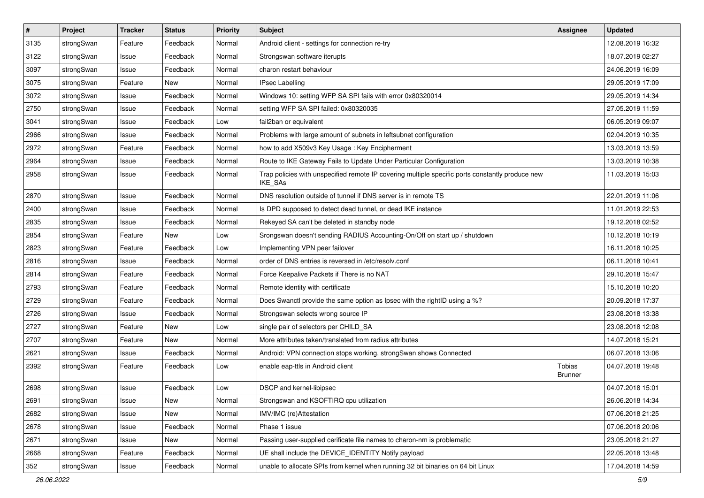| $\pmb{\#}$ | Project    | <b>Tracker</b> | <b>Status</b> | <b>Priority</b> | <b>Subject</b>                                                                                              | <b>Assignee</b>          | <b>Updated</b>   |
|------------|------------|----------------|---------------|-----------------|-------------------------------------------------------------------------------------------------------------|--------------------------|------------------|
| 3135       | strongSwan | Feature        | Feedback      | Normal          | Android client - settings for connection re-try                                                             |                          | 12.08.2019 16:32 |
| 3122       | strongSwan | Issue          | Feedback      | Normal          | Strongswan software iterupts                                                                                |                          | 18.07.2019 02:27 |
| 3097       | strongSwan | Issue          | Feedback      | Normal          | charon restart behaviour                                                                                    |                          | 24.06.2019 16:09 |
| 3075       | strongSwan | Feature        | New           | Normal          | <b>IPsec Labelling</b>                                                                                      |                          | 29.05.2019 17:09 |
| 3072       | strongSwan | Issue          | Feedback      | Normal          | Windows 10: setting WFP SA SPI fails with error 0x80320014                                                  |                          | 29.05.2019 14:34 |
| 2750       | strongSwan | Issue          | Feedback      | Normal          | setting WFP SA SPI failed: 0x80320035                                                                       |                          | 27.05.2019 11:59 |
| 3041       | strongSwan | Issue          | Feedback      | Low             | fail2ban or equivalent                                                                                      |                          | 06.05.2019 09:07 |
| 2966       | strongSwan | Issue          | Feedback      | Normal          | Problems with large amount of subnets in leftsubnet configuration                                           |                          | 02.04.2019 10:35 |
| 2972       | strongSwan | Feature        | Feedback      | Normal          | how to add X509v3 Key Usage: Key Encipherment                                                               |                          | 13.03.2019 13:59 |
| 2964       | strongSwan | Issue          | Feedback      | Normal          | Route to IKE Gateway Fails to Update Under Particular Configuration                                         |                          | 13.03.2019 10:38 |
| 2958       | strongSwan | Issue          | Feedback      | Normal          | Trap policies with unspecified remote IP covering multiple specific ports constantly produce new<br>IKE_SAs |                          | 11.03.2019 15:03 |
| 2870       | strongSwan | Issue          | Feedback      | Normal          | DNS resolution outside of tunnel if DNS server is in remote TS                                              |                          | 22.01.2019 11:06 |
| 2400       | strongSwan | Issue          | Feedback      | Normal          | Is DPD supposed to detect dead tunnel, or dead IKE instance                                                 |                          | 11.01.2019 22:53 |
| 2835       | strongSwan | Issue          | Feedback      | Normal          | Rekeyed SA can't be deleted in standby node                                                                 |                          | 19.12.2018 02:52 |
| 2854       | strongSwan | Feature        | New           | Low             | Srongswan doesn't sending RADIUS Accounting-On/Off on start up / shutdown                                   |                          | 10.12.2018 10:19 |
| 2823       | strongSwan | Feature        | Feedback      | Low             | Implementing VPN peer failover                                                                              |                          | 16.11.2018 10:25 |
| 2816       | strongSwan | Issue          | Feedback      | Normal          | order of DNS entries is reversed in /etc/resolv.conf                                                        |                          | 06.11.2018 10:41 |
| 2814       | strongSwan | Feature        | Feedback      | Normal          | Force Keepalive Packets if There is no NAT                                                                  |                          | 29.10.2018 15:47 |
| 2793       | strongSwan | Feature        | Feedback      | Normal          | Remote identity with certificate                                                                            |                          | 15.10.2018 10:20 |
| 2729       | strongSwan | Feature        | Feedback      | Normal          | Does Swanctl provide the same option as Ipsec with the rightID using a %?                                   |                          | 20.09.2018 17:37 |
| 2726       | strongSwan | Issue          | Feedback      | Normal          | Strongswan selects wrong source IP                                                                          |                          | 23.08.2018 13:38 |
| 2727       | strongSwan | Feature        | New           | Low             | single pair of selectors per CHILD_SA                                                                       |                          | 23.08.2018 12:08 |
| 2707       | strongSwan | Feature        | New           | Normal          | More attributes taken/translated from radius attributes                                                     |                          | 14.07.2018 15:21 |
| 2621       | strongSwan | Issue          | Feedback      | Normal          | Android: VPN connection stops working, strongSwan shows Connected                                           |                          | 06.07.2018 13:06 |
| 2392       | strongSwan | Feature        | Feedback      | Low             | enable eap-ttls in Android client                                                                           | Tobias<br><b>Brunner</b> | 04.07.2018 19:48 |
| 2698       | strongSwan | Issue          | Feedback      | Low             | DSCP and kernel-libipsec                                                                                    |                          | 04.07.2018 15:01 |
| 2691       | strongSwan | Issue          | New           | Normal          | Strongswan and KSOFTIRQ cpu utilization                                                                     |                          | 26.06.2018 14:34 |
| 2682       | strongSwan | Issue          | New           | Normal          | IMV/IMC (re)Attestation                                                                                     |                          | 07.06.2018 21:25 |
| 2678       | strongSwan | Issue          | Feedback      | Normal          | Phase 1 issue                                                                                               |                          | 07.06.2018 20:06 |
| 2671       | strongSwan | Issue          | New           | Normal          | Passing user-supplied cerificate file names to charon-nm is problematic                                     |                          | 23.05.2018 21:27 |
| 2668       | strongSwan | Feature        | Feedback      | Normal          | UE shall include the DEVICE_IDENTITY Notify payload                                                         |                          | 22.05.2018 13:48 |
| 352        | strongSwan | Issue          | Feedback      | Normal          | unable to allocate SPIs from kernel when running 32 bit binaries on 64 bit Linux                            |                          | 17.04.2018 14:59 |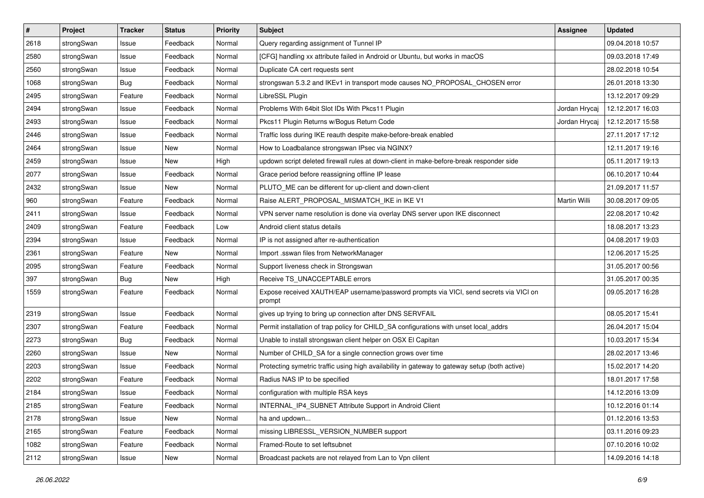| $\pmb{\#}$ | Project    | <b>Tracker</b> | <b>Status</b> | <b>Priority</b> | Subject                                                                                          | <b>Assignee</b> | <b>Updated</b>   |
|------------|------------|----------------|---------------|-----------------|--------------------------------------------------------------------------------------------------|-----------------|------------------|
| 2618       | strongSwan | Issue          | Feedback      | Normal          | Query regarding assignment of Tunnel IP                                                          |                 | 09.04.2018 10:57 |
| 2580       | strongSwan | Issue          | Feedback      | Normal          | [CFG] handling xx attribute failed in Android or Ubuntu, but works in macOS                      |                 | 09.03.2018 17:49 |
| 2560       | strongSwan | Issue          | Feedback      | Normal          | Duplicate CA cert requests sent                                                                  |                 | 28.02.2018 10:54 |
| 1068       | strongSwan | <b>Bug</b>     | Feedback      | Normal          | strongswan 5.3.2 and IKEv1 in transport mode causes NO_PROPOSAL_CHOSEN error                     |                 | 26.01.2018 13:30 |
| 2495       | strongSwan | Feature        | Feedback      | Normal          | LibreSSL Plugin                                                                                  |                 | 13.12.2017 09:29 |
| 2494       | strongSwan | Issue          | Feedback      | Normal          | Problems With 64bit Slot IDs With Pkcs11 Plugin                                                  | Jordan Hrycaj   | 12.12.2017 16:03 |
| 2493       | strongSwan | Issue          | Feedback      | Normal          | Pkcs11 Plugin Returns w/Bogus Return Code                                                        | Jordan Hrycaj   | 12.12.2017 15:58 |
| 2446       | strongSwan | Issue          | Feedback      | Normal          | Traffic loss during IKE reauth despite make-before-break enabled                                 |                 | 27.11.2017 17:12 |
| 2464       | strongSwan | Issue          | New           | Normal          | How to Loadbalance strongswan IPsec via NGINX?                                                   |                 | 12.11.2017 19:16 |
| 2459       | strongSwan | Issue          | New           | High            | updown script deleted firewall rules at down-client in make-before-break responder side          |                 | 05.11.2017 19:13 |
| 2077       | strongSwan | Issue          | Feedback      | Normal          | Grace period before reassigning offline IP lease                                                 |                 | 06.10.2017 10:44 |
| 2432       | strongSwan | Issue          | New           | Normal          | PLUTO_ME can be different for up-client and down-client                                          |                 | 21.09.2017 11:57 |
| 960        | strongSwan | Feature        | Feedback      | Normal          | Raise ALERT PROPOSAL MISMATCH IKE in IKE V1                                                      | Martin Willi    | 30.08.2017 09:05 |
| 2411       | strongSwan | Issue          | Feedback      | Normal          | VPN server name resolution is done via overlay DNS server upon IKE disconnect                    |                 | 22.08.2017 10:42 |
| 2409       | strongSwan | Feature        | Feedback      | Low             | Android client status details                                                                    |                 | 18.08.2017 13:23 |
| 2394       | strongSwan | Issue          | Feedback      | Normal          | IP is not assigned after re-authentication                                                       |                 | 04.08.2017 19:03 |
| 2361       | strongSwan | Feature        | New           | Normal          | Import .sswan files from NetworkManager                                                          |                 | 12.06.2017 15:25 |
| 2095       | strongSwan | Feature        | Feedback      | Normal          | Support liveness check in Strongswan                                                             |                 | 31.05.2017 00:56 |
| 397        | strongSwan | Bug            | New           | High            | Receive TS_UNACCEPTABLE errors                                                                   |                 | 31.05.2017 00:35 |
| 1559       | strongSwan | Feature        | Feedback      | Normal          | Expose received XAUTH/EAP username/password prompts via VICI, send secrets via VICI on<br>prompt |                 | 09.05.2017 16:28 |
| 2319       | strongSwan | Issue          | Feedback      | Normal          | gives up trying to bring up connection after DNS SERVFAIL                                        |                 | 08.05.2017 15:41 |
| 2307       | strongSwan | Feature        | Feedback      | Normal          | Permit installation of trap policy for CHILD_SA configurations with unset local_addrs            |                 | 26.04.2017 15:04 |
| 2273       | strongSwan | <b>Bug</b>     | Feedback      | Normal          | Unable to install strongswan client helper on OSX El Capitan                                     |                 | 10.03.2017 15:34 |
| 2260       | strongSwan | Issue          | New           | Normal          | Number of CHILD_SA for a single connection grows over time                                       |                 | 28.02.2017 13:46 |
| 2203       | strongSwan | Issue          | Feedback      | Normal          | Protecting symetric traffic using high availability in gateway to gateway setup (both active)    |                 | 15.02.2017 14:20 |
| 2202       | strongSwan | Feature        | Feedback      | Normal          | Radius NAS IP to be specified                                                                    |                 | 18.01.2017 17:58 |
| 2184       | strongSwan | Issue          | Feedback      | Normal          | configuration with multiple RSA keys                                                             |                 | 14.12.2016 13:09 |
| 2185       | strongSwan | Feature        | Feedback      | Normal          | INTERNAL IP4 SUBNET Attribute Support in Android Client                                          |                 | 10.12.2016 01:14 |
| 2178       | strongSwan | Issue          | New           | Normal          | ha and updown                                                                                    |                 | 01.12.2016 13:53 |
| 2165       | strongSwan | Feature        | Feedback      | Normal          | missing LIBRESSL_VERSION_NUMBER support                                                          |                 | 03.11.2016 09:23 |
| 1082       | strongSwan | Feature        | Feedback      | Normal          | Framed-Route to set leftsubnet                                                                   |                 | 07.10.2016 10:02 |
| 2112       | strongSwan | Issue          | New           | Normal          | Broadcast packets are not relayed from Lan to Vpn clilent                                        |                 | 14.09.2016 14:18 |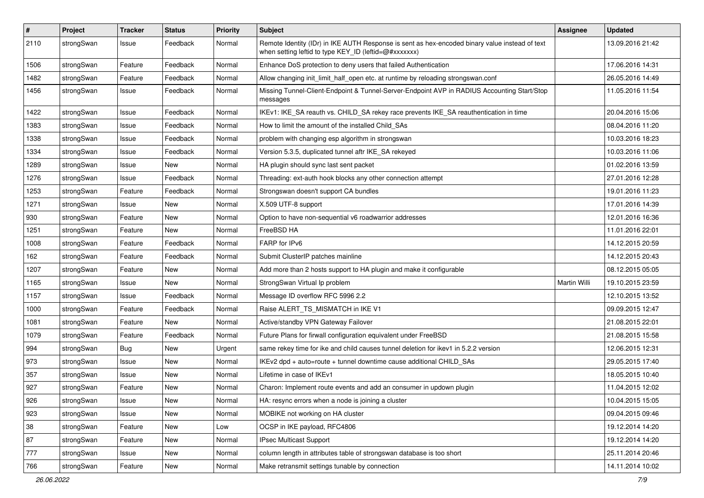| $\sharp$ | Project    | <b>Tracker</b> | <b>Status</b> | <b>Priority</b> | <b>Subject</b>                                                                                                                                          | <b>Assignee</b>     | <b>Updated</b>   |
|----------|------------|----------------|---------------|-----------------|---------------------------------------------------------------------------------------------------------------------------------------------------------|---------------------|------------------|
| 2110     | strongSwan | Issue          | Feedback      | Normal          | Remote Identity (IDr) in IKE AUTH Response is sent as hex-encoded binary value instead of text<br>when setting leftid to type KEY_ID (leftid=@#xxxxxxx) |                     | 13.09.2016 21:42 |
| 1506     | strongSwan | Feature        | Feedback      | Normal          | Enhance DoS protection to deny users that failed Authentication                                                                                         |                     | 17.06.2016 14:31 |
| 1482     | strongSwan | Feature        | Feedback      | Normal          | Allow changing init_limit_half_open etc. at runtime by reloading strongswan.conf                                                                        |                     | 26.05.2016 14:49 |
| 1456     | strongSwan | Issue          | Feedback      | Normal          | Missing Tunnel-Client-Endpoint & Tunnel-Server-Endpoint AVP in RADIUS Accounting Start/Stop<br>messages                                                 |                     | 11.05.2016 11:54 |
| 1422     | strongSwan | Issue          | Feedback      | Normal          | IKEv1: IKE_SA reauth vs. CHILD_SA rekey race prevents IKE_SA reauthentication in time                                                                   |                     | 20.04.2016 15:06 |
| 1383     | strongSwan | Issue          | Feedback      | Normal          | How to limit the amount of the installed Child_SAs                                                                                                      |                     | 08.04.2016 11:20 |
| 1338     | strongSwan | Issue          | Feedback      | Normal          | problem with changing esp algorithm in strongswan                                                                                                       |                     | 10.03.2016 18:23 |
| 1334     | strongSwan | Issue          | Feedback      | Normal          | Version 5.3.5, duplicated tunnel aftr IKE_SA rekeyed                                                                                                    |                     | 10.03.2016 11:06 |
| 1289     | strongSwan | Issue          | New           | Normal          | HA plugin should sync last sent packet                                                                                                                  |                     | 01.02.2016 13:59 |
| 1276     | strongSwan | Issue          | Feedback      | Normal          | Threading: ext-auth hook blocks any other connection attempt                                                                                            |                     | 27.01.2016 12:28 |
| 1253     | strongSwan | Feature        | Feedback      | Normal          | Strongswan doesn't support CA bundles                                                                                                                   |                     | 19.01.2016 11:23 |
| 1271     | strongSwan | Issue          | New           | Normal          | X.509 UTF-8 support                                                                                                                                     |                     | 17.01.2016 14:39 |
| 930      | strongSwan | Feature        | New           | Normal          | Option to have non-sequential v6 roadwarrior addresses                                                                                                  |                     | 12.01.2016 16:36 |
| 1251     | strongSwan | Feature        | New           | Normal          | FreeBSD HA                                                                                                                                              |                     | 11.01.2016 22:01 |
| 1008     | strongSwan | Feature        | Feedback      | Normal          | FARP for IPv6                                                                                                                                           |                     | 14.12.2015 20:59 |
| 162      | strongSwan | Feature        | Feedback      | Normal          | Submit ClusterIP patches mainline                                                                                                                       |                     | 14.12.2015 20:43 |
| 1207     | strongSwan | Feature        | New           | Normal          | Add more than 2 hosts support to HA plugin and make it configurable                                                                                     |                     | 08.12.2015 05:05 |
| 1165     | strongSwan | Issue          | New           | Normal          | StrongSwan Virtual Ip problem                                                                                                                           | <b>Martin Willi</b> | 19.10.2015 23:59 |
| 1157     | strongSwan | Issue          | Feedback      | Normal          | Message ID overflow RFC 5996 2.2                                                                                                                        |                     | 12.10.2015 13:52 |
| 1000     | strongSwan | Feature        | Feedback      | Normal          | Raise ALERT_TS_MISMATCH in IKE V1                                                                                                                       |                     | 09.09.2015 12:47 |
| 1081     | strongSwan | Feature        | New           | Normal          | Active/standby VPN Gateway Failover                                                                                                                     |                     | 21.08.2015 22:01 |
| 1079     | strongSwan | Feature        | Feedback      | Normal          | Future Plans for firwall configuration equivalent under FreeBSD                                                                                         |                     | 21.08.2015 15:58 |
| 994      | strongSwan | Bug            | <b>New</b>    | Urgent          | same rekey time for ike and child causes tunnel deletion for ikev1 in 5.2.2 version                                                                     |                     | 12.06.2015 12:31 |
| 973      | strongSwan | Issue          | <b>New</b>    | Normal          | IKEv2 dpd + auto=route + tunnel downtime cause additional CHILD_SAs                                                                                     |                     | 29.05.2015 17:40 |
| 357      | strongSwan | Issue          | New           | Normal          | Lifetime in case of IKEv1                                                                                                                               |                     | 18.05.2015 10:40 |
| 927      | strongSwan | Feature        | <b>New</b>    | Normal          | Charon: Implement route events and add an consumer in updown plugin                                                                                     |                     | 11.04.2015 12:02 |
| 926      | strongSwan | Issue          | New           | Normal          | HA: resync errors when a node is joining a cluster                                                                                                      |                     | 10.04.2015 15:05 |
| 923      | strongSwan | Issue          | New           | Normal          | MOBIKE not working on HA cluster                                                                                                                        |                     | 09.04.2015 09:46 |
| 38       | strongSwan | Feature        | New           | Low             | OCSP in IKE payload, RFC4806                                                                                                                            |                     | 19.12.2014 14:20 |
| 87       | strongSwan | Feature        | New           | Normal          | IPsec Multicast Support                                                                                                                                 |                     | 19.12.2014 14:20 |
| $777\,$  | strongSwan | Issue          | New           | Normal          | column length in attributes table of strongswan database is too short                                                                                   |                     | 25.11.2014 20:46 |
| 766      | strongSwan | Feature        | New           | Normal          | Make retransmit settings tunable by connection                                                                                                          |                     | 14.11.2014 10:02 |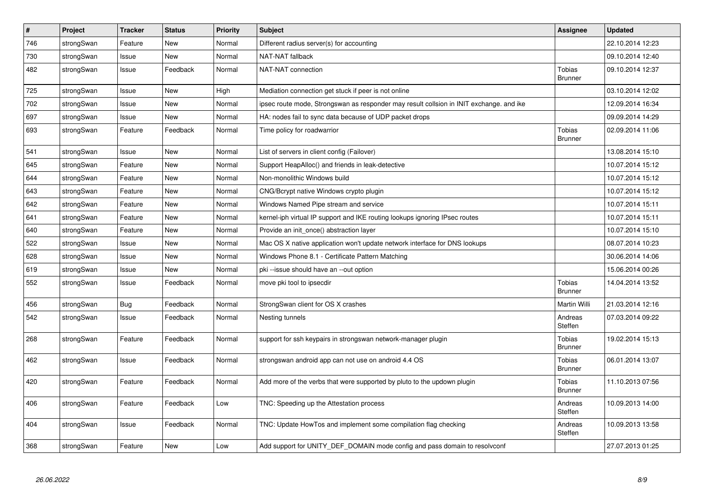| $\sharp$ | Project    | <b>Tracker</b> | <b>Status</b> | <b>Priority</b> | <b>Subject</b>                                                                          | Assignee                        | <b>Updated</b>   |
|----------|------------|----------------|---------------|-----------------|-----------------------------------------------------------------------------------------|---------------------------------|------------------|
| 746      | strongSwan | Feature        | <b>New</b>    | Normal          | Different radius server(s) for accounting                                               |                                 | 22.10.2014 12:23 |
| 730      | strongSwan | Issue          | <b>New</b>    | Normal          | NAT-NAT fallback                                                                        |                                 | 09.10.2014 12:40 |
| 482      | strongSwan | Issue          | Feedback      | Normal          | NAT-NAT connection                                                                      | <b>Tobias</b><br><b>Brunner</b> | 09.10.2014 12:37 |
| 725      | strongSwan | Issue          | <b>New</b>    | High            | Mediation connection get stuck if peer is not online                                    |                                 | 03.10.2014 12:02 |
| 702      | strongSwan | Issue          | New           | Normal          | ipsec route mode, Strongswan as responder may result collsion in INIT exchange, and ike |                                 | 12.09.2014 16:34 |
| 697      | strongSwan | Issue          | New           | Normal          | HA: nodes fail to sync data because of UDP packet drops                                 |                                 | 09.09.2014 14:29 |
| 693      | strongSwan | Feature        | Feedback      | Normal          | Time policy for roadwarrior                                                             | Tobias<br><b>Brunner</b>        | 02.09.2014 11:06 |
| 541      | strongSwan | Issue          | <b>New</b>    | Normal          | List of servers in client config (Failover)                                             |                                 | 13.08.2014 15:10 |
| 645      | strongSwan | Feature        | <b>New</b>    | Normal          | Support HeapAlloc() and friends in leak-detective                                       |                                 | 10.07.2014 15:12 |
| 644      | strongSwan | Feature        | New           | Normal          | Non-monolithic Windows build                                                            |                                 | 10.07.2014 15:12 |
| 643      | strongSwan | Feature        | New           | Normal          | CNG/Bcrypt native Windows crypto plugin                                                 |                                 | 10.07.2014 15:12 |
| 642      | strongSwan | Feature        | <b>New</b>    | Normal          | Windows Named Pipe stream and service                                                   |                                 | 10.07.2014 15:11 |
| 641      | strongSwan | Feature        | <b>New</b>    | Normal          | kernel-iph virtual IP support and IKE routing lookups ignoring IPsec routes             |                                 | 10.07.2014 15:11 |
| 640      | strongSwan | Feature        | New           | Normal          | Provide an init once() abstraction layer                                                |                                 | 10.07.2014 15:10 |
| 522      | strongSwan | Issue          | <b>New</b>    | Normal          | Mac OS X native application won't update network interface for DNS lookups              |                                 | 08.07.2014 10:23 |
| 628      | strongSwan | Issue          | <b>New</b>    | Normal          | Windows Phone 8.1 - Certificate Pattern Matching                                        |                                 | 30.06.2014 14:06 |
| 619      | strongSwan | Issue          | New           | Normal          | pki --issue should have an --out option                                                 |                                 | 15.06.2014 00:26 |
| 552      | strongSwan | Issue          | Feedback      | Normal          | move pki tool to ipsecdir                                                               | Tobias<br><b>Brunner</b>        | 14.04.2014 13:52 |
| 456      | strongSwan | <b>Bug</b>     | Feedback      | Normal          | StrongSwan client for OS X crashes                                                      | Martin Willi                    | 21.03.2014 12:16 |
| 542      | strongSwan | Issue          | Feedback      | Normal          | Nesting tunnels                                                                         | Andreas<br>Steffen              | 07.03.2014 09:22 |
| 268      | strongSwan | Feature        | Feedback      | Normal          | support for ssh keypairs in strongswan network-manager plugin                           | Tobias<br><b>Brunner</b>        | 19.02.2014 15:13 |
| 462      | strongSwan | Issue          | Feedback      | Normal          | strongswan android app can not use on android 4.4 OS                                    | <b>Tobias</b><br><b>Brunner</b> | 06.01.2014 13:07 |
| 420      | strongSwan | Feature        | Feedback      | Normal          | Add more of the verbs that were supported by pluto to the updown plugin                 | <b>Tobias</b><br><b>Brunner</b> | 11.10.2013 07:56 |
| 406      | strongSwan | Feature        | Feedback      | Low             | TNC: Speeding up the Attestation process                                                | Andreas<br>Steffen              | 10.09.2013 14:00 |
| 404      | strongSwan | Issue          | Feedback      | Normal          | TNC: Update HowTos and implement some compilation flag checking                         | Andreas<br>Steffen              | 10.09.2013 13:58 |
| 368      | strongSwan | Feature        | New           | Low             | Add support for UNITY_DEF_DOMAIN mode config and pass domain to resolvconf              |                                 | 27.07.2013 01:25 |